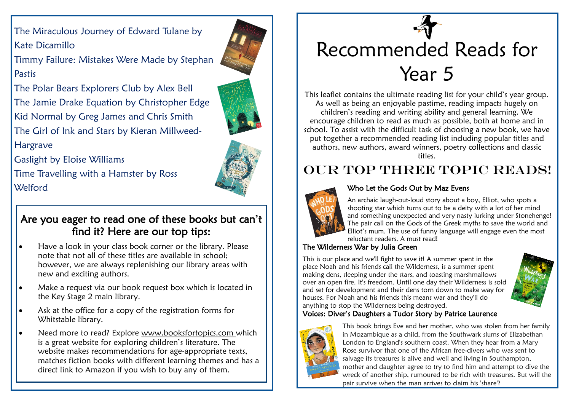The Miraculous Journey of Edward Tulane by Kate Dicamillo

Timmy Failure: Mistakes Were Made by Stephan Pastis

The Polar Bears Explorers Club by Alex Bell The Jamie Drake Equation by Christopher Edge Kid Normal by Greg James and Chris Smith The Girl of Ink and Stars by Kieran Millweed-Hargrave

Gaslight by Eloise Williams

Time Travelling with a Hamster by Ross Welford

## Are you eager to read one of these books but can't find it? Here are our top tips:

- Have a look in your class book corner or the library. Please note that not all of these titles are available in school; however, we are always replenishing our library areas with new and exciting authors.
- Make a request via our book request box which is located in the Key Stage 2 main library.
- Ask at the office for a copy of the registration forms for Whitstable library.
- Need more to read? Explore www.booksfortopics.com which is a great website for exploring children's literature. The website makes recommendations for age-appropriate texts, matches fiction books with different learning themes and has a direct link to Amazon if you wish to buy any of them.

# Recommended Reads for Year 5

This leaflet contains the ultimate reading list for your child's year group. As well as being an enjoyable pastime, reading impacts hugely on children's reading and writing ability and general learning. We encourage children to read as much as possible, both at home and in school. To assist with the difficult task of choosing a new book, we have put together a recommended reading list including popular titles and authors, new authors, award winners, poetry collections and classic titles.

# OUR TOP THREE TOPIC READS!



#### Who Let the Gods Out by Maz Evens

An archaic laugh-out-loud story about a boy, Elliot, who spots a shooting star which turns out to be a deity with a lot of her mind and something unexpected and very nasty lurking under Stonehenge! The pair call on the Gods of the Greek myths to save the world and Elliot's mum. The use of funny language will engage even the most reluctant readers. A must read!

### The Wilderness War by Julia Green

This is our place and we'll fight to save it! A summer spent in the place Noah and his friends call the Wilderness, is a summer spent making dens, sleeping under the stars, and toasting marshmallows over an open fire. It's freedom. Until one day their Wilderness is sold and set for development and their dens torn down to make way for houses. For Noah and his friends this means war and they'll do anything to stop the Wilderness being destroyed.



### Voices: Diver's Daughters a Tudor Story by Patrice Laurence



This book brings Eve and her mother, who was stolen from her family in Mozambique as a child, from the Southwark slums of Elizabethan London to England's southern coast. When they hear from a Mary Rose survivor that one of the African free-divers who was sent to salvage its treasures is alive and well and living in Southampton, mother and daughter agree to try to find him and attempt to dive the wreck of another ship, rumoured to be rich with treasures. But will the pair survive when the man arrives to claim his 'share'?